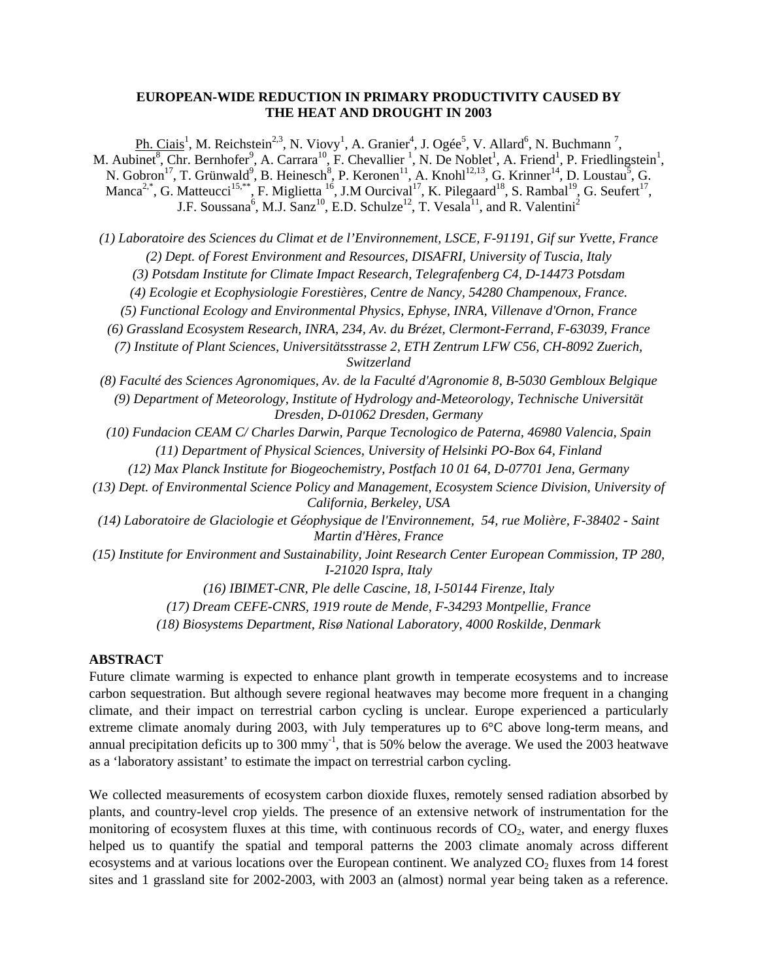## **EUROPEAN-WIDE REDUCTION IN PRIMARY PRODUCTIVITY CAUSED BY THE HEAT AND DROUGHT IN 2003**

 $\overline{Ph}$ . Ciais<sup>1</sup>, M. Reichstein<sup>2,3</sup>, N. Viovy<sup>1</sup>, A. Granier<sup>4</sup>, J. Ogée<sup>5</sup>, V. Allard<sup>6</sup>, N. Buchmann<sup>7</sup>, M. Aubinet<sup>8</sup>, Chr. Bernhofer<sup>9</sup>, A. Carrara<sup>10</sup>, F. Chevallier<sup>1</sup>, N. De Noblet<sup>1</sup>, A. Friend<sup>1</sup>, P. Friedlingstein<sup>1</sup>, N. Gobron<sup>17</sup>, T. Grünwald<sup>9</sup>, B. Heinesch<sup>8</sup>, P. Keronen<sup>11</sup>, A. Knohl<sup>12,13</sup>, G. Krinner<sup>14</sup>, D. Loustau<sup>5</sup>, G. Manca<sup>2,\*</sup>, G. Matteucci<sup>15,\*\*</sup>, F. Miglietta <sup>16</sup>, J.M Ourcival<sup>17</sup>, K. Pilegaard<sup>18</sup>, S. Rambal<sup>19</sup>, G. Seufert<sup>17</sup>, J.F. Soussana<sup>6</sup>, M.J. Sanz<sup>10</sup>, E.D. Schulze<sup>12</sup>, T. Vesala<sup>11</sup>, and R. Valentini<sup>2</sup>

*(1) Laboratoire des Sciences du Climat et de l'Environnement, LSCE, F-91191, Gif sur Yvette, France (2) Dept. of Forest Environment and Resources, DISAFRI, University of Tuscia, Italy* 

*(3) Potsdam Institute for Climate Impact Research, Telegrafenberg C4, D-14473 Potsdam* 

*(4) Ecologie et Ecophysiologie Forestières, Centre de Nancy, 54280 Champenoux, France.* 

*(5) Functional Ecology and Environmental Physics, Ephyse, INRA, Villenave d'Ornon, France* 

*(6) Grassland Ecosystem Research, INRA, 234, Av. du Brézet, Clermont-Ferrand, F-63039, France* 

*(7) Institute of Plant Sciences, Universitätsstrasse 2, ETH Zentrum LFW C56, CH-8092 Zuerich, Switzerland* 

- *(8) Faculté des Sciences Agronomiques, Av. de la Faculté d'Agronomie 8, B-5030 Gembloux Belgique (9) Department of Meteorology, Institute of Hydrology and-Meteorology, Technische Universität Dresden, D-01062 Dresden, Germany*
- *(10) Fundacion CEAM C/ Charles Darwin, Parque Tecnologico de Paterna, 46980 Valencia, Spain (11) Department of Physical Sciences, University of Helsinki PO-Box 64, Finland* 
	- *(12) Max Planck Institute for Biogeochemistry, Postfach 10 01 64, D-07701 Jena, Germany*
- *(13) Dept. of Environmental Science Policy and Management, Ecosystem Science Division, University of California, Berkeley, USA*

*(14) Laboratoire de Glaciologie et Géophysique de l'Environnement, 54, rue Molière, F-38402 - Saint Martin d'Hères, France* 

*(15) Institute for Environment and Sustainability, Joint Research Center European Commission, TP 280, I-21020 Ispra, Italy* 

*(16) IBIMET-CNR, Ple delle Cascine, 18, I-50144 Firenze, Italy* 

*(17) Dream CEFE-CNRS, 1919 route de Mende, F-34293 Montpellie, France* 

*(18) Biosystems Department, Risø National Laboratory, 4000 Roskilde, Denmark* 

## **ABSTRACT**

Future climate warming is expected to enhance plant growth in temperate ecosystems and to increase carbon sequestration. But although severe regional heatwaves may become more frequent in a changing climate, and their impact on terrestrial carbon cycling is unclear. Europe experienced a particularly extreme climate anomaly during 2003, with July temperatures up to 6°C above long-term means, and annual precipitation deficits up to 300 mmy<sup>-1</sup>, that is 50% below the average. We used the 2003 heatwave as a 'laboratory assistant' to estimate the impact on terrestrial carbon cycling.

We collected measurements of ecosystem carbon dioxide fluxes, remotely sensed radiation absorbed by plants, and country-level crop yields. The presence of an extensive network of instrumentation for the monitoring of ecosystem fluxes at this time, with continuous records of  $CO<sub>2</sub>$ , water, and energy fluxes helped us to quantify the spatial and temporal patterns the 2003 climate anomaly across different ecosystems and at various locations over the European continent. We analyzed  $CO<sub>2</sub>$  fluxes from 14 forest sites and 1 grassland site for 2002-2003, with 2003 an (almost) normal year being taken as a reference.